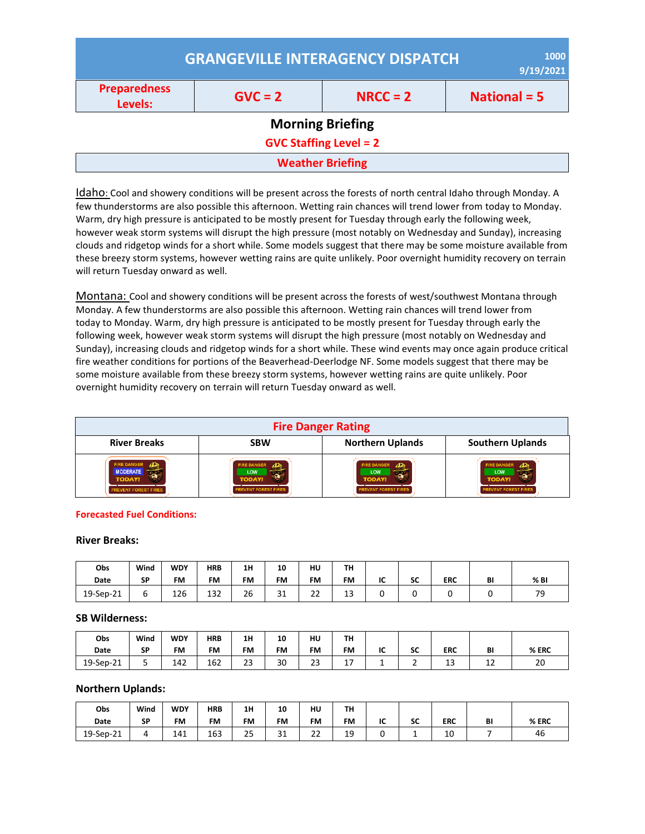|                                | 1000<br><b>GRANGEVILLE INTERAGENCY DISPATCH</b><br>9/19/2021 |                         |                |  |  |  |  |  |
|--------------------------------|--------------------------------------------------------------|-------------------------|----------------|--|--|--|--|--|
| <b>Preparedness</b><br>Levels: | $GVC = 2$                                                    | $NRC = 2$               | National $= 5$ |  |  |  |  |  |
|                                |                                                              | <b>Morning Briefing</b> |                |  |  |  |  |  |
| <b>GVC Staffing Level = 2</b>  |                                                              |                         |                |  |  |  |  |  |
|                                |                                                              | <b>Weather Briefing</b> |                |  |  |  |  |  |

Idaho: Cool and showery conditions will be present across the forests of north central Idaho through Monday. A few thunderstorms are also possible this afternoon. Wetting rain chances will trend lower from today to Monday. Warm, dry high pressure is anticipated to be mostly present for Tuesday through early the following week, however weak storm systems will disrupt the high pressure (most notably on Wednesday and Sunday), increasing clouds and ridgetop winds for a short while. Some models suggest that there may be some moisture available from these breezy storm systems, however wetting rains are quite unlikely. Poor overnight humidity recovery on terrain will return Tuesday onward as well.

Montana: Cool and showery conditions will be present across the forests of west/southwest Montana through Monday. A few thunderstorms are also possible this afternoon. Wetting rain chances will trend lower from today to Monday. Warm, dry high pressure is anticipated to be mostly present for Tuesday through early the following week, however weak storm systems will disrupt the high pressure (most notably on Wednesday and Sunday), increasing clouds and ridgetop winds for a short while. These wind events may once again produce critical fire weather conditions for portions of the Beaverhead-Deerlodge NF. Some models suggest that there may be some moisture available from these breezy storm systems, however wetting rains are quite unlikely. Poor overnight humidity recovery on terrain will return Tuesday onward as well.

| <b>Fire Danger Rating</b>                                                  |                                                                                              |                                                                                 |                                                                                 |  |  |  |
|----------------------------------------------------------------------------|----------------------------------------------------------------------------------------------|---------------------------------------------------------------------------------|---------------------------------------------------------------------------------|--|--|--|
| <b>River Breaks</b>                                                        | <b>SBW</b>                                                                                   | <b>Northern Uplands</b>                                                         | <b>Southern Uplands</b>                                                         |  |  |  |
| te DANGE<br><b>MODERATE</b><br><b>TODAY!</b><br><b>REVENT FOREST FIRES</b> | <b>FIRE DANGER</b><br>$\sqrt{D}$<br><b>LOW</b><br><b>TODAY!</b><br><b>EVENT FOREST FIRES</b> | <b>FIRE DANGER</b><br><b>LOW</b><br><b>TODAY!</b><br><b>REVENT FOREST FIRES</b> | <b>FIRE DANGER</b><br><b>LOW</b><br><b>TODAY!</b><br><b>REVENT FOREST FIRES</b> |  |  |  |

#### **Forecasted Fuel Conditions:**

#### **River Breaks:**

| Obs       | Wind | <b>WDY</b> | <b>HRB</b> | 1H        | 10           | HU        | TН |    |    |            |    |      |
|-----------|------|------------|------------|-----------|--------------|-----------|----|----|----|------------|----|------|
| Date      | SP   | <b>FM</b>  | <b>FM</b>  | <b>FM</b> | <b>FM</b>    | <b>FM</b> | FM | IC | SC | <b>ERC</b> | BI | % BI |
| 19-Sep-21 | ь    | 126        | 132        | 26        | $\sim$<br>⊐⊥ | າາ<br>ᅩ   | 13 |    |    |            |    | 79   |

#### **SB Wilderness:**

| Obs<br>Date | Wind<br><b>SP</b> | <b>WDY</b><br><b>FM</b> | <b>HRB</b><br><b>FM</b> | 1H<br><b>FM</b> | 10<br><b>FM</b> | HU<br><b>FM</b> | TH<br><b>FM</b> | IC | cr.<br>JL | <b>ERC</b>   | BI          | % ERC |
|-------------|-------------------|-------------------------|-------------------------|-----------------|-----------------|-----------------|-----------------|----|-----------|--------------|-------------|-------|
| 19-Sep-21   | ◡                 | 142                     | 162                     | $\sim$<br>دے    | 30              | $\sim$<br>دے    | . –<br>. .      |    | -         | $\sim$<br>د⊥ | $\sim$<br>ᆠ | 20    |

#### **Northern Uplands:**

| Obs         | Wind      | <b>WDY</b> | <b>HRB</b> | 1H        | 10            | HU                 | TH        |    |          |          |    |       |
|-------------|-----------|------------|------------|-----------|---------------|--------------------|-----------|----|----------|----------|----|-------|
| <b>Date</b> | <b>SP</b> | <b>FM</b>  | <b>FM</b>  | <b>FM</b> | <b>FM</b>     | <b>FM</b>          | <b>FM</b> | IC | cc<br>ວບ | ERC      | BI | % ERC |
| 19-Sep-21   |           | 141        | 163        | つに<br>رے  | $\sim$<br>⊥ ب | $\mathbf{a}$<br>∠∠ | 19        |    | -        | 10<br>__ |    | 46    |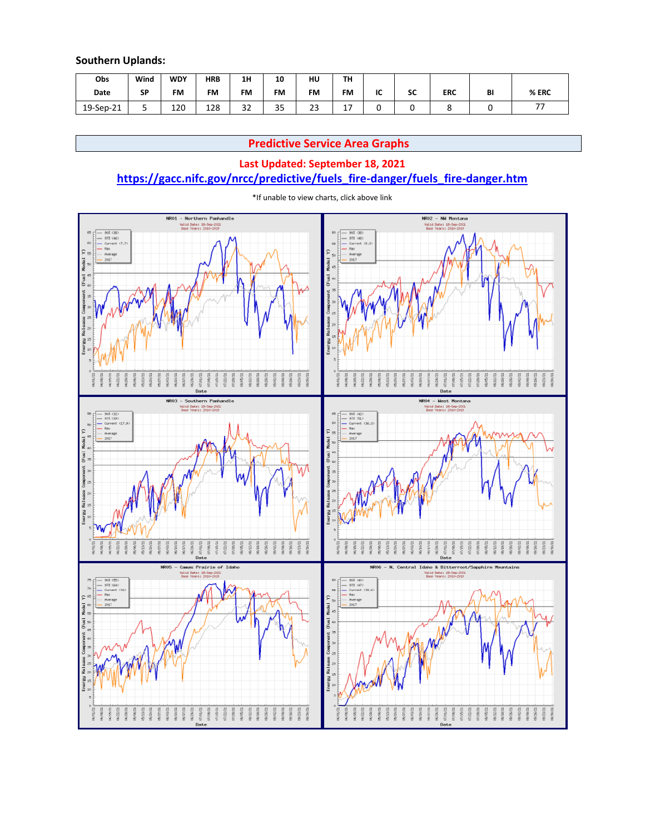#### **Southern Uplands:**

| Obs       | Wind      | <b>WDY</b> | <b>HRB</b> | 1H            | 10                  | HU       | TH                    |    |             |            |    |               |
|-----------|-----------|------------|------------|---------------|---------------------|----------|-----------------------|----|-------------|------------|----|---------------|
| Date      | <b>SP</b> | <b>FM</b>  | <b>FM</b>  | <b>FM</b>     | <b>FM</b>           | FM       | <b>FM</b>             | IC | $\sim$<br>ж | <b>ERC</b> | BI | % ERC         |
| 19-Sep-21 | ◡         | 120        | 128        | $\sim$<br>ے ت | $\sim$ $\sim$<br>35 | าา<br>23 | $\overline{ }$<br>. . |    |             |            |    | $\rightarrow$ |

## **Predictive Service Area Graphs**

### **Last Updated: September 18, 2021**

## **[https://gacc.nifc.gov/nrcc/predictive/fuels\\_fire-danger/fuels\\_fire-danger.htm](https://gacc.nifc.gov/nrcc/predictive/fuels_fire-danger/fuels_fire-danger.htm)**



\*If unable to view charts, click above link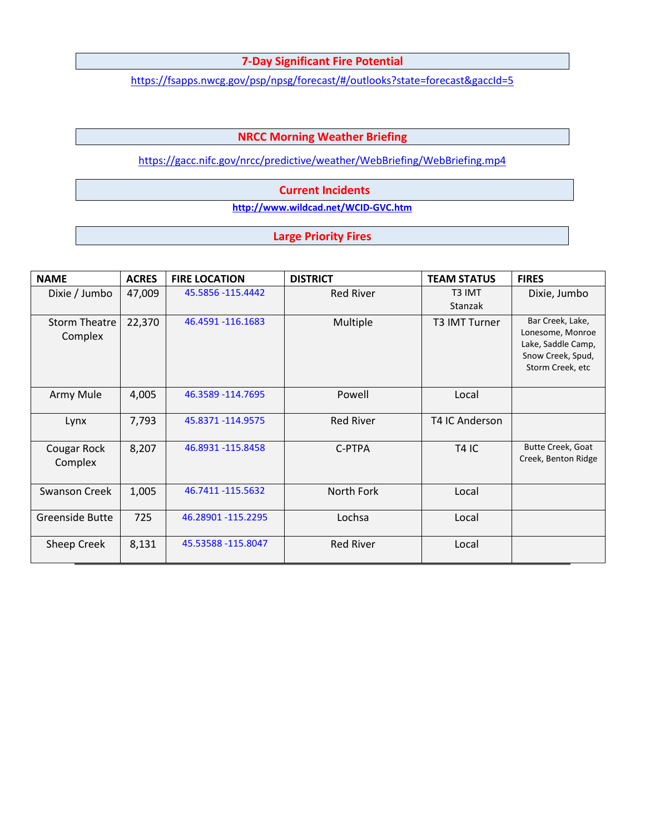## **7-Day Significant Fire Potential**

<https://fsapps.nwcg.gov/psp/npsg/forecast/#/outlooks?state=forecast&gaccId=5>

### **NRCC Morning Weather Briefing**

<https://gacc.nifc.gov/nrcc/predictive/weather/WebBriefing/WebBriefing.mp4>

#### **Current Incidents**

**<http://www.wildcad.net/WCID-GVC.htm>**

### **Large Priority Fires**

| <b>NAME</b>                     | <b>ACRES</b> | <b>FIRE LOCATION</b> | <b>DISTRICT</b>  | <b>TEAM STATUS</b>   | <b>FIRES</b>                                                                                        |
|---------------------------------|--------------|----------------------|------------------|----------------------|-----------------------------------------------------------------------------------------------------|
| Dixie / Jumbo                   | 47,009       | 45.5856 -115.4442    | <b>Red River</b> | T3 IMT<br>Stanzak    | Dixie, Jumbo                                                                                        |
| <b>Storm Theatre</b><br>Complex | 22,370       | 46.4591 -116.1683    | Multiple         | <b>T3 IMT Turner</b> | Bar Creek, Lake,<br>Lonesome, Monroe<br>Lake, Saddle Camp,<br>Snow Creek, Spud,<br>Storm Creek, etc |
| Army Mule                       | 4,005        | 46.3589 - 114.7695   | Powell           | Local                |                                                                                                     |
| Lynx                            | 7,793        | 45.8371 -114.9575    | <b>Red River</b> | T4 IC Anderson       |                                                                                                     |
| Cougar Rock<br>Complex          | 8,207        | 46.8931 -115.8458    | C-PTPA           | <b>T4 IC</b>         | Butte Creek, Goat<br>Creek, Benton Ridge                                                            |
| <b>Swanson Creek</b>            | 1,005        | 46.7411 -115.5632    | North Fork       | Local                |                                                                                                     |
| Greenside Butte                 | 725          | 46.28901 -115.2295   | Lochsa           | Local                |                                                                                                     |
| Sheep Creek                     | 8,131        | 45.53588 -115.8047   | <b>Red River</b> | Local                |                                                                                                     |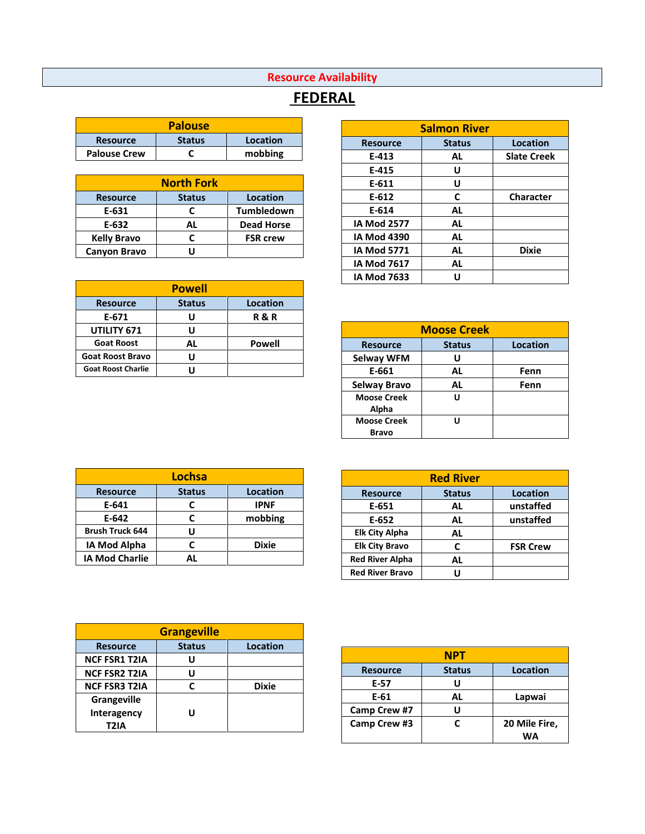## **Resource Availability**

# **FEDERAL**

| <b>Palouse</b>      |               |          |  |  |  |  |
|---------------------|---------------|----------|--|--|--|--|
| <b>Resource</b>     | <b>Status</b> | Location |  |  |  |  |
| <b>Palouse Crew</b> |               | mobbing  |  |  |  |  |

| <b>North Fork</b>   |               |                   |  |  |  |  |
|---------------------|---------------|-------------------|--|--|--|--|
| <b>Resource</b>     | <b>Status</b> | <b>Location</b>   |  |  |  |  |
| E-631               | C             | <b>Tumbledown</b> |  |  |  |  |
| E-632               | AL            | <b>Dead Horse</b> |  |  |  |  |
| <b>Kelly Bravo</b>  | r             | <b>FSR crew</b>   |  |  |  |  |
| <b>Canyon Bravo</b> |               |                   |  |  |  |  |

| <b>Powell</b>             |               |                 |  |  |  |  |  |
|---------------------------|---------------|-----------------|--|--|--|--|--|
| <b>Resource</b>           | <b>Status</b> | <b>Location</b> |  |  |  |  |  |
| E-671                     | U             | <b>R&amp;R</b>  |  |  |  |  |  |
| UTILITY 671               | U             |                 |  |  |  |  |  |
| <b>Goat Roost</b>         | AL            | Powell          |  |  |  |  |  |
| <b>Goat Roost Bravo</b>   | U             |                 |  |  |  |  |  |
| <b>Goat Roost Charlie</b> |               |                 |  |  |  |  |  |

| <b>Salmon River</b> |               |                    |  |  |  |  |  |
|---------------------|---------------|--------------------|--|--|--|--|--|
| <b>Resource</b>     | <b>Status</b> | Location           |  |  |  |  |  |
| E-413               | AL            | <b>Slate Creek</b> |  |  |  |  |  |
| E-415               | U             |                    |  |  |  |  |  |
| E-611               | U             |                    |  |  |  |  |  |
| E-612               | C             | <b>Character</b>   |  |  |  |  |  |
| E-614               | AL            |                    |  |  |  |  |  |
| <b>IA Mod 2577</b>  | AL            |                    |  |  |  |  |  |
| <b>IA Mod 4390</b>  | AL            |                    |  |  |  |  |  |
| <b>IA Mod 5771</b>  | AL            | <b>Dixie</b>       |  |  |  |  |  |
| <b>IA Mod 7617</b>  | AL            |                    |  |  |  |  |  |
| <b>IA Mod 7633</b>  | U             |                    |  |  |  |  |  |

|                     | <b>Moose Creek</b> |          |  |  |  |  |  |
|---------------------|--------------------|----------|--|--|--|--|--|
| <b>Resource</b>     | <b>Status</b>      | Location |  |  |  |  |  |
| <b>Selway WFM</b>   | U                  |          |  |  |  |  |  |
| E-661               | AL                 | Fenn     |  |  |  |  |  |
| <b>Selway Bravo</b> | AL                 | Fenn     |  |  |  |  |  |
| <b>Moose Creek</b>  | U                  |          |  |  |  |  |  |
| Alpha               |                    |          |  |  |  |  |  |
| <b>Moose Creek</b>  | ''                 |          |  |  |  |  |  |
| <b>Bravo</b>        |                    |          |  |  |  |  |  |

| Lochsa                 |                 |              |  |  |  |  |
|------------------------|-----------------|--------------|--|--|--|--|
| <b>Resource</b>        | <b>Location</b> |              |  |  |  |  |
| E-641                  | C               | <b>IPNF</b>  |  |  |  |  |
| E-642                  | C               | mobbing      |  |  |  |  |
| <b>Brush Truck 644</b> | U               |              |  |  |  |  |
| IA Mod Alpha           | C               | <b>Dixie</b> |  |  |  |  |
| <b>IA Mod Charlie</b>  | ΔI              |              |  |  |  |  |

|                      | <b>Grangeville</b> |              |
|----------------------|--------------------|--------------|
| <b>Resource</b>      | <b>Status</b>      | Location     |
| <b>NCF FSR1 T2IA</b> | U                  |              |
| <b>NCF FSR2 T2IA</b> | U                  |              |
| <b>NCF FSR3 T2IA</b> | r                  | <b>Dixie</b> |
| Grangeville          |                    |              |
| Interagency          | יי                 |              |
| T2IA                 |                    |              |

| <b>Red River</b>       |          |                 |  |  |  |  |
|------------------------|----------|-----------------|--|--|--|--|
| <b>Resource</b>        | Location |                 |  |  |  |  |
| E-651                  | AL       | unstaffed       |  |  |  |  |
| $E-652$                | AL       | unstaffed       |  |  |  |  |
| <b>Elk City Alpha</b>  | AL       |                 |  |  |  |  |
| <b>Elk City Bravo</b>  | C        | <b>FSR Crew</b> |  |  |  |  |
| <b>Red River Alpha</b> | AL       |                 |  |  |  |  |
| <b>Red River Bravo</b> | וו       |                 |  |  |  |  |

| <b>NPT</b>      |                 |               |  |  |  |  |  |
|-----------------|-----------------|---------------|--|--|--|--|--|
| <b>Resource</b> | <b>Location</b> |               |  |  |  |  |  |
| E-57            |                 |               |  |  |  |  |  |
| E-61            | AL              | Lapwai        |  |  |  |  |  |
| Camp Crew #7    | יי              |               |  |  |  |  |  |
| Camp Crew #3    | r               | 20 Mile Fire, |  |  |  |  |  |
|                 |                 | W۵            |  |  |  |  |  |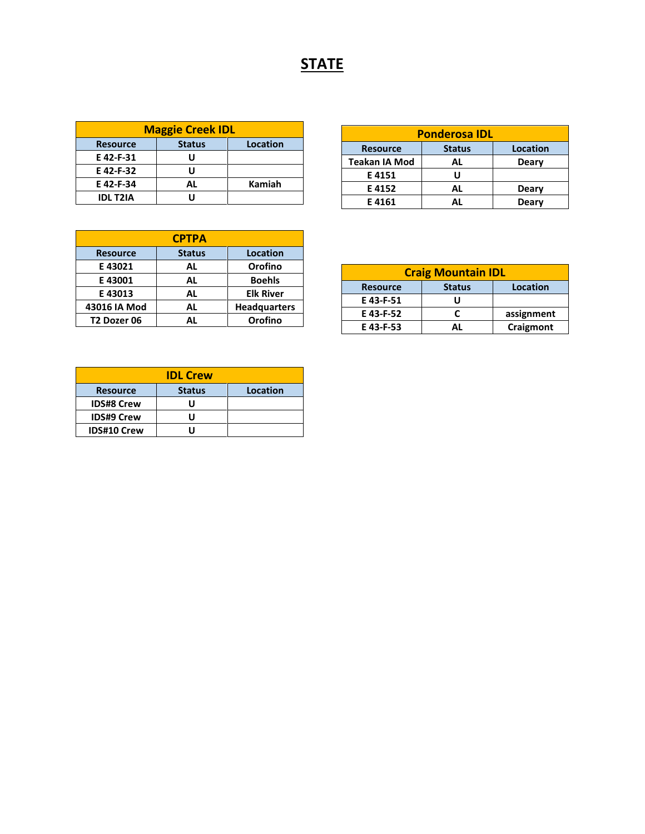# **STATE**

| <b>Maggie Creek IDL</b>                      |    |        |  |  |  |  |
|----------------------------------------------|----|--------|--|--|--|--|
| Location<br><b>Status</b><br><b>Resource</b> |    |        |  |  |  |  |
| E 42-F-31                                    |    |        |  |  |  |  |
| E 42-F-32                                    |    |        |  |  |  |  |
| E 42-F-34                                    | AL | Kamiah |  |  |  |  |
| <b>IDL T2IA</b>                              |    |        |  |  |  |  |

| <b>Ponderosa IDL</b>                         |       |       |  |  |  |  |  |
|----------------------------------------------|-------|-------|--|--|--|--|--|
| Location<br><b>Status</b><br><b>Resource</b> |       |       |  |  |  |  |  |
| <b>Teakan IA Mod</b>                         | Deary |       |  |  |  |  |  |
| E4151                                        | U     |       |  |  |  |  |  |
| E 4152                                       | AL    | Deary |  |  |  |  |  |
| E 4161                                       | ΔI    | Deary |  |  |  |  |  |

| <b>CPTPA</b>            |               |                     |  |  |  |  |
|-------------------------|---------------|---------------------|--|--|--|--|
| <b>Resource</b>         | <b>Status</b> | <b>Location</b>     |  |  |  |  |
| E 43021                 | AL            | Orofino             |  |  |  |  |
| E 43001                 | AL            | <b>Boehls</b>       |  |  |  |  |
| E 43013                 | AL            | <b>Elk River</b>    |  |  |  |  |
| 43016 IA Mod            | AL            | <b>Headquarters</b> |  |  |  |  |
| T <sub>2</sub> Dozer 06 | ΑL            | Orofino             |  |  |  |  |

| <b>Craig Mountain IDL</b>                    |           |  |  |  |  |  |
|----------------------------------------------|-----------|--|--|--|--|--|
| Location<br><b>Status</b><br><b>Resource</b> |           |  |  |  |  |  |
| E 43-F-51                                    |           |  |  |  |  |  |
| E 43-F-52                                    | r         |  |  |  |  |  |
| E 43-F-53                                    | Craigmont |  |  |  |  |  |

| <b>IDL Crew</b>    |               |          |  |  |  |  |
|--------------------|---------------|----------|--|--|--|--|
| <b>Resource</b>    | <b>Status</b> | Location |  |  |  |  |
| <b>IDS#8 Crew</b>  |               |          |  |  |  |  |
| <b>IDS#9 Crew</b>  |               |          |  |  |  |  |
| <b>IDS#10 Crew</b> |               |          |  |  |  |  |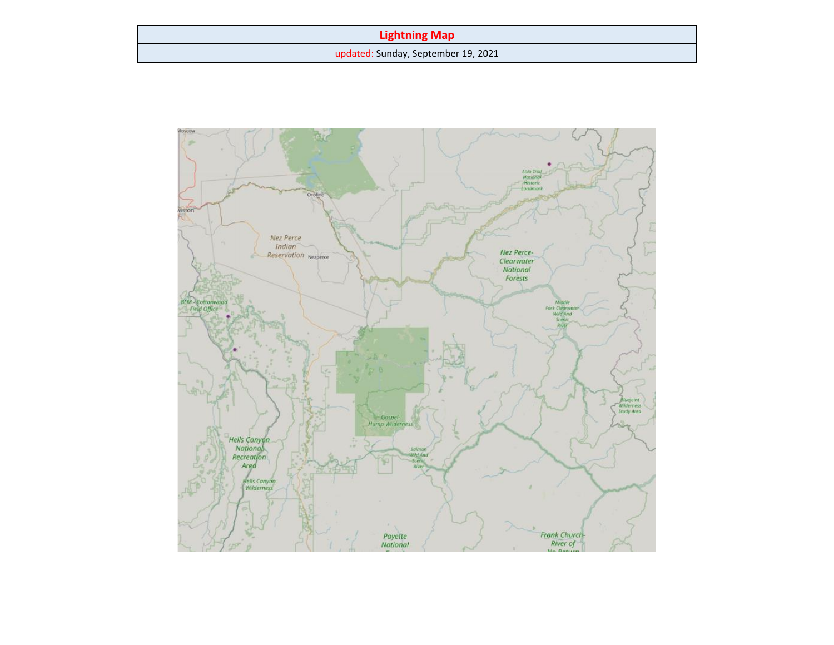## **Lightning Map**

updated: Sunday, September 19, 2021

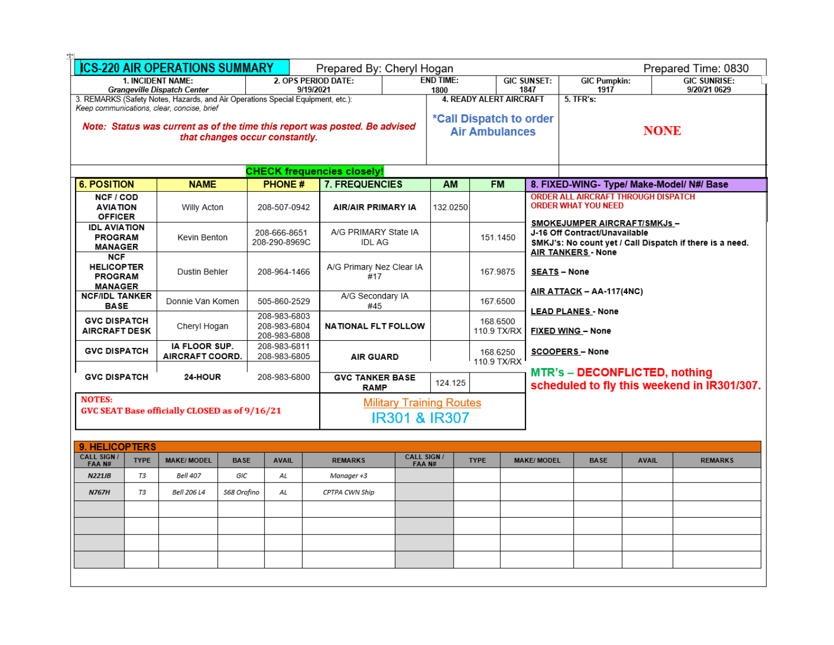| <b>ICS-220 AIR OPERATIONS SUMMARY</b><br>Prepared By: Cheryl Hogan              |                                  |             |                                |                                   |                                                                                                                                |                                | Prepared Time: 0830             |             |                           |                                      |              |                                                          |
|---------------------------------------------------------------------------------|----------------------------------|-------------|--------------------------------|-----------------------------------|--------------------------------------------------------------------------------------------------------------------------------|--------------------------------|---------------------------------|-------------|---------------------------|--------------------------------------|--------------|----------------------------------------------------------|
|                                                                                 | 1. INCIDENT NAME:                |             |                                | 2. OPS PERIOD DATE:               |                                                                                                                                | <b>END TIME:</b>               |                                 |             | <b>GIC SUNSET:</b>        | <b>GIC Pumpkin:</b>                  |              | <b>GIC SUNRISE:</b>                                      |
|                                                                                 | Grangeville Dispatch Center      |             |                                | 9/19/2021                         | 1847<br>1800                                                                                                                   |                                |                                 |             | 1917                      |                                      | 9/20/21 0629 |                                                          |
| 3. REMARKS (Safety Notes, Hazards, and Air Operations Special Equipment, etc.): |                                  |             |                                |                                   |                                                                                                                                | <b>4. READY ALERT AIRCRAFT</b> |                                 |             |                           |                                      |              |                                                          |
| Keep communications, clear, concise, brief                                      |                                  |             |                                |                                   |                                                                                                                                |                                |                                 |             |                           |                                      |              |                                                          |
|                                                                                 |                                  |             |                                |                                   | *Call Dispatch to order<br>Note: Status was current as of the time this report was posted. Be advised<br><b>Air Ambulances</b> |                                |                                 | <b>NONE</b> |                           |                                      |              |                                                          |
|                                                                                 |                                  |             | that changes occur constantly. |                                   |                                                                                                                                |                                |                                 |             |                           |                                      |              |                                                          |
|                                                                                 |                                  |             |                                |                                   |                                                                                                                                |                                |                                 |             |                           |                                      |              |                                                          |
|                                                                                 |                                  |             |                                | <b>CHECK frequencies closely!</b> |                                                                                                                                |                                |                                 |             |                           |                                      |              |                                                          |
| <b>6. POSITION</b>                                                              | <b>NAME</b>                      |             | <b>PHONE#</b>                  | 7. FREQUENCIES                    |                                                                                                                                | AM                             | <b>FM</b>                       |             |                           |                                      |              | 8. FIXED-WING- Type/ Make-Model/ N#/ Base                |
| NCF / COD                                                                       |                                  |             |                                |                                   |                                                                                                                                |                                |                                 |             |                           | ORDER ALL AIRCRAFT THROUGH DISPATCH  |              |                                                          |
| <b>AVIATION</b>                                                                 | Willy Acton                      |             | 208-507-0942                   | <b>AIR/AIR PRIMARY IA</b>         |                                                                                                                                | 132.0250                       |                                 |             |                           | <b>ORDER WHAT YOU NEED</b>           |              |                                                          |
| <b>OFFICER</b><br><b>IDL AVIATION</b>                                           |                                  |             |                                |                                   |                                                                                                                                |                                |                                 |             |                           | SMOKEJUMPER AIRCRAFT/SMKJs-          |              |                                                          |
| <b>PROGRAM</b>                                                                  | Kevin Benton                     |             | 208-666-8651                   | A/G PRIMARY State IA              |                                                                                                                                |                                | 151.1450                        |             |                           | J-16 Off Contract/Unavailable        |              |                                                          |
| <b>MANAGER</b>                                                                  |                                  |             | 208-290-8969C                  | <b>IDL AG</b>                     |                                                                                                                                |                                |                                 |             |                           | <b>AIR TANKERS - None</b>            |              | SMKJ's: No count yet / Call Dispatch if there is a need. |
| <b>NCF</b><br><b>HELICOPTER</b>                                                 |                                  |             |                                |                                   |                                                                                                                                |                                |                                 |             |                           |                                      |              |                                                          |
| <b>PROGRAM</b>                                                                  | Dustin Behler                    |             | 208-964-1466                   | #17                               | A/G Primary Nez Clear IA                                                                                                       |                                | 167.9875<br><b>SEATS - None</b> |             |                           |                                      |              |                                                          |
| <b>MANAGER</b>                                                                  |                                  |             |                                |                                   |                                                                                                                                |                                |                                 |             |                           |                                      |              |                                                          |
| <b>NCF/IDL TANKER</b>                                                           | Donnie Van Komen                 |             | 505-860-2529                   | A/G Secondary IA                  |                                                                                                                                |                                | 167.6500                        |             |                           | AIR ATTACK - AA-117(4NC)             |              |                                                          |
| <b>BASE</b>                                                                     |                                  |             | 208-983-6803                   | #45                               |                                                                                                                                |                                |                                 |             | <b>LEAD PLANES - None</b> |                                      |              |                                                          |
| <b>GVC DISPATCH</b><br><b>AIRCRAFT DESK</b>                                     | Cheryl Hogan                     |             | 208-983-6804                   | <b>NATIONAL FLT FOLLOW</b>        |                                                                                                                                |                                | 168,6500                        | 110.9 TX/RX |                           |                                      |              |                                                          |
|                                                                                 |                                  |             | 208-983-6808                   |                                   |                                                                                                                                |                                |                                 |             | <b>FIXED WING - None</b>  |                                      |              |                                                          |
| <b>GVC DISPATCH</b>                                                             | IA FLOOR SUP.<br>AIRCRAFT COORD. |             | 208-983-6811<br>208-983-6805   | <b>AIR GUARD</b>                  |                                                                                                                                |                                | 168.6250                        |             |                           | <b>SCOOPERS-None</b>                 |              |                                                          |
|                                                                                 |                                  |             |                                |                                   |                                                                                                                                |                                |                                 | 110.9 TX/RX |                           |                                      |              |                                                          |
| <b>GVC DISPATCH</b>                                                             | 24-HOUR                          |             | 208-983-6800                   | <b>GVC TANKER BASE</b>            |                                                                                                                                |                                |                                 |             |                           | <b>MTR's - DECONFLICTED, nothing</b> |              |                                                          |
|                                                                                 |                                  |             |                                | <b>RAMP</b>                       |                                                                                                                                | 124.125                        |                                 |             |                           |                                      |              | scheduled to fly this weekend in IR301/307.              |
| <b>NOTES:</b>                                                                   |                                  |             |                                |                                   | <b>Military Training Routes</b>                                                                                                |                                |                                 |             |                           |                                      |              |                                                          |
| GVC SEAT Base officially CLOSED as of 9/16/21                                   |                                  |             |                                |                                   | <b>IR301 &amp; IR307</b>                                                                                                       |                                |                                 |             |                           |                                      |              |                                                          |
|                                                                                 |                                  |             |                                |                                   |                                                                                                                                |                                |                                 |             |                           |                                      |              |                                                          |
| 9. HELICOPTERS                                                                  |                                  |             |                                |                                   |                                                                                                                                |                                |                                 |             |                           |                                      |              |                                                          |
| <b>CALL SIGN/</b><br><b>TYPE</b>                                                | <b>MAKE/MODEL</b>                | <b>BASE</b> | <b>AVAIL</b>                   | <b>REMARKS</b>                    | <b>CALL SIGN /</b>                                                                                                             |                                | <b>TYPE</b>                     |             | <b>MAKE/MODEL</b>         | <b>BASE</b>                          | <b>AVAIL</b> | <b>REMARKS</b>                                           |
| FAA N#<br><b>N221JB</b><br>T3                                                   | <b>Bell 407</b>                  | GIC         | AL                             | Manager +3                        | FAA N#                                                                                                                         |                                |                                 |             |                           |                                      |              |                                                          |
|                                                                                 |                                  |             |                                |                                   |                                                                                                                                |                                |                                 |             |                           |                                      |              |                                                          |
| <b>N767H</b><br>T3                                                              | <b>Bell 206 L4</b>               | S68 Orofino | AL                             | CPTPA CWN Ship                    |                                                                                                                                |                                |                                 |             |                           |                                      |              |                                                          |
|                                                                                 |                                  |             |                                |                                   |                                                                                                                                |                                |                                 |             |                           |                                      |              |                                                          |
|                                                                                 |                                  |             |                                |                                   |                                                                                                                                |                                |                                 |             |                           |                                      |              |                                                          |
|                                                                                 |                                  |             |                                |                                   |                                                                                                                                |                                |                                 |             |                           |                                      |              |                                                          |